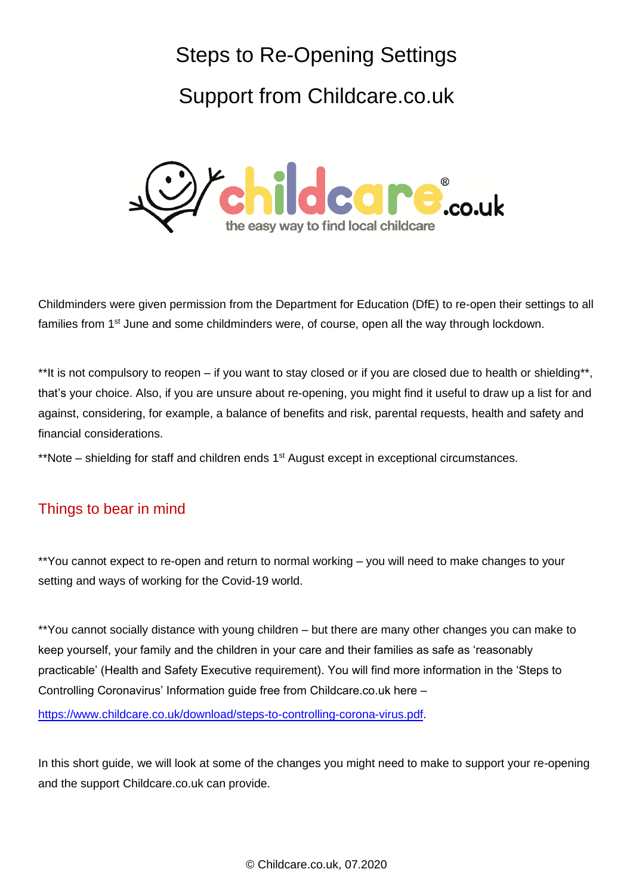# Steps to Re-Opening Settings

# Support from Childcare.co.uk



Childminders were given permission from the Department for Education (DfE) to re-open their settings to all families from 1<sup>st</sup> June and some childminders were, of course, open all the way through lockdown.

\*\*It is not compulsory to reopen – if you want to stay closed or if you are closed due to health or shielding\*\*, that's your choice. Also, if you are unsure about re-opening, you might find it useful to draw up a list for and against, considering, for example, a balance of benefits and risk, parental requests, health and safety and financial considerations.

\*\*Note – shielding for staff and children ends 1<sup>st</sup> August except in exceptional circumstances.

## Things to bear in mind

\*\*You cannot expect to re-open and return to normal working – you will need to make changes to your setting and ways of working for the Covid-19 world.

\*\*You cannot socially distance with young children – but there are many other changes you can make to keep yourself, your family and the children in your care and their families as safe as 'reasonably practicable' (Health and Safety Executive requirement). You will find more information in the 'Steps to Controlling Coronavirus' Information guide free from Childcare.co.uk here –

[https://www.childcare.co.uk/download/steps-to-controlling-corona-virus.pdf.](https://www.childcare.co.uk/download/steps-to-controlling-corona-virus.pdf)

In this short guide, we will look at some of the changes you might need to make to support your re-opening and the support Childcare.co.uk can provide.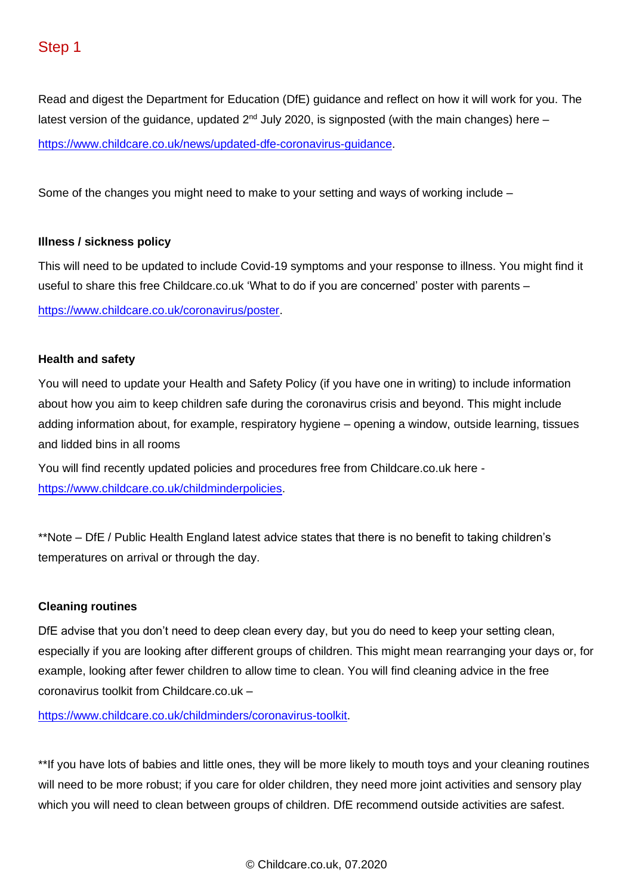Read and digest the Department for Education (DfE) guidance and reflect on how it will work for you. The latest version of the guidance, updated  $2<sup>nd</sup>$  July 2020, is signposted (with the main changes) here  $$ [https://www.childcare.co.uk/news/updated-dfe-coronavirus-guidance.](https://www.childcare.co.uk/news/updated-dfe-coronavirus-guidance)

Some of the changes you might need to make to your setting and ways of working include –

#### **Illness / sickness policy**

This will need to be updated to include Covid-19 symptoms and your response to illness. You might find it useful to share this free Childcare.co.uk 'What to do if you are concerned' poster with parents – [https://www.childcare.co.uk/coronavirus/poster.](https://www.childcare.co.uk/coronavirus/poster)

#### **Health and safety**

You will need to update your Health and Safety Policy (if you have one in writing) to include information about how you aim to keep children safe during the coronavirus crisis and beyond. This might include adding information about, for example, respiratory hygiene – opening a window, outside learning, tissues and lidded bins in all rooms

You will find recently updated policies and procedures free from Childcare.co.uk here [https://www.childcare.co.uk/childminderpolicies.](https://www.childcare.co.uk/childminderpolicies)

\*\*Note – DfE / Public Health England latest advice states that there is no benefit to taking children's temperatures on arrival or through the day.

#### **Cleaning routines**

DfE advise that you don't need to deep clean every day, but you do need to keep your setting clean, especially if you are looking after different groups of children. This might mean rearranging your days or, for example, looking after fewer children to allow time to clean. You will find cleaning advice in the free coronavirus toolkit from Childcare.co.uk –

[https://www.childcare.co.uk/childminders/coronavirus-toolkit.](https://www.childcare.co.uk/childminders/coronavirus-toolkit)

\*\*If you have lots of babies and little ones, they will be more likely to mouth toys and your cleaning routines will need to be more robust; if you care for older children, they need more joint activities and sensory play which you will need to clean between groups of children. DfE recommend outside activities are safest.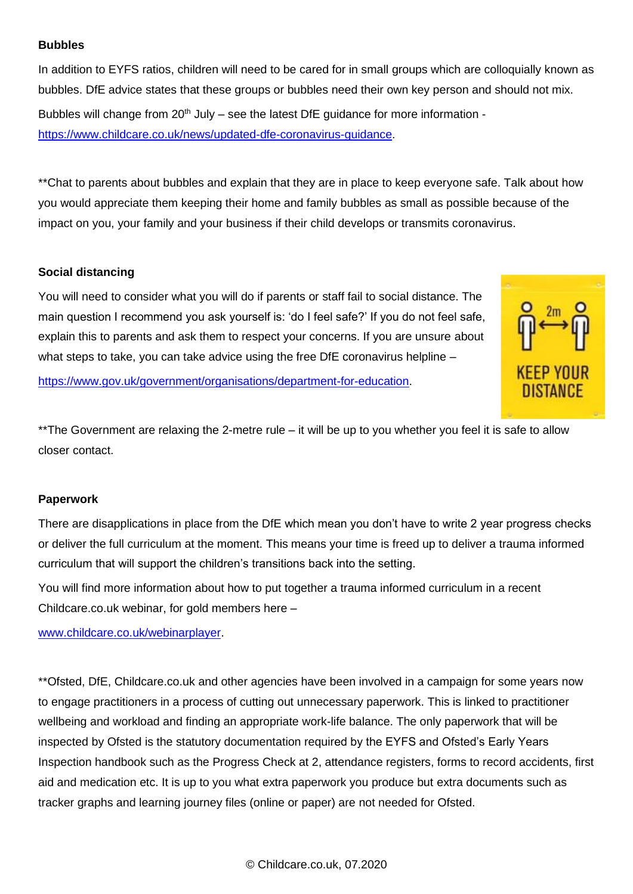#### **Bubbles**

In addition to EYFS ratios, children will need to be cared for in small groups which are colloquially known as bubbles. DfE advice states that these groups or bubbles need their own key person and should not mix. Bubbles will change from  $20<sup>th</sup>$  July – see the latest DfE guidance for more information [https://www.childcare.co.uk/news/updated-dfe-coronavirus-guidance.](https://www.childcare.co.uk/news/updated-dfe-coronavirus-guidance)

\*\*Chat to parents about bubbles and explain that they are in place to keep everyone safe. Talk about how you would appreciate them keeping their home and family bubbles as small as possible because of the impact on you, your family and your business if their child develops or transmits coronavirus.

#### **Social distancing**

You will need to consider what you will do if parents or staff fail to social distance. The main question I recommend you ask yourself is: 'do I feel safe?' If you do not feel safe, explain this to parents and ask them to respect your concerns. If you are unsure about what steps to take, you can take advice using the free DfE coronavirus helpline –

[https://www.gov.uk/government/organisations/department-for-education.](https://www.gov.uk/government/organisations/department-for-education)



\*\*The Government are relaxing the 2-metre rule – it will be up to you whether you feel it is safe to allow closer contact.

#### **Paperwork**

There are disapplications in place from the DfE which mean you don't have to write 2 year progress checks or deliver the full curriculum at the moment. This means your time is freed up to deliver a trauma informed curriculum that will support the children's transitions back into the setting.

You will find more information about how to put together a trauma informed curriculum in a recent Childcare.co.uk webinar, for gold members here –

[www.childcare.co.uk/webinarplayer.](http://www.childcare.co.uk/webinarplayer)

\*\*Ofsted, DfE, Childcare.co.uk and other agencies have been involved in a campaign for some years now to engage practitioners in a process of cutting out unnecessary paperwork. This is linked to practitioner wellbeing and workload and finding an appropriate work-life balance. The only paperwork that will be inspected by Ofsted is the statutory documentation required by the EYFS and Ofsted's Early Years Inspection handbook such as the Progress Check at 2, attendance registers, forms to record accidents, first aid and medication etc. It is up to you what extra paperwork you produce but extra documents such as tracker graphs and learning journey files (online or paper) are not needed for Ofsted.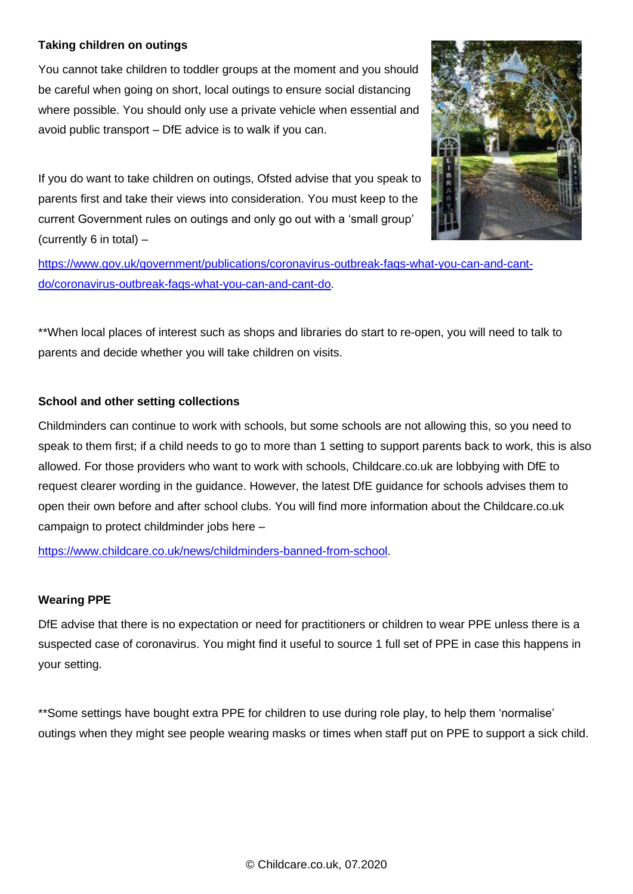#### **Taking children on outings**

You cannot take children to toddler groups at the moment and you should be careful when going on short, local outings to ensure social distancing where possible. You should only use a private vehicle when essential and avoid public transport – DfE advice is to walk if you can.



If you do want to take children on outings, Ofsted advise that you speak to parents first and take their views into consideration. You must keep to the current Government rules on outings and only go out with a 'small group' (currently 6 in total) –

[https://www.gov.uk/government/publications/coronavirus-outbreak-faqs-what-you-can-and-cant](https://www.gov.uk/government/publications/coronavirus-outbreak-faqs-what-you-can-and-cant-do/coronavirus-outbreak-faqs-what-you-can-and-cant-do)[do/coronavirus-outbreak-faqs-what-you-can-and-cant-do.](https://www.gov.uk/government/publications/coronavirus-outbreak-faqs-what-you-can-and-cant-do/coronavirus-outbreak-faqs-what-you-can-and-cant-do)

\*\*When local places of interest such as shops and libraries do start to re-open, you will need to talk to parents and decide whether you will take children on visits.

#### **School and other setting collections**

Childminders can continue to work with schools, but some schools are not allowing this, so you need to speak to them first; if a child needs to go to more than 1 setting to support parents back to work, this is also allowed. For those providers who want to work with schools, Childcare.co.uk are lobbying with DfE to request clearer wording in the guidance. However, the latest DfE guidance for schools advises them to open their own before and after school clubs. You will find more information about the Childcare.co.uk campaign to protect childminder jobs here –

[https://www.childcare.co.uk/news/childminders-banned-from-school.](https://www.childcare.co.uk/news/childminders-banned-from-school)

#### **Wearing PPE**

DfE advise that there is no expectation or need for practitioners or children to wear PPE unless there is a suspected case of coronavirus. You might find it useful to source 1 full set of PPE in case this happens in your setting.

\*\*Some settings have bought extra PPE for children to use during role play, to help them 'normalise' outings when they might see people wearing masks or times when staff put on PPE to support a sick child.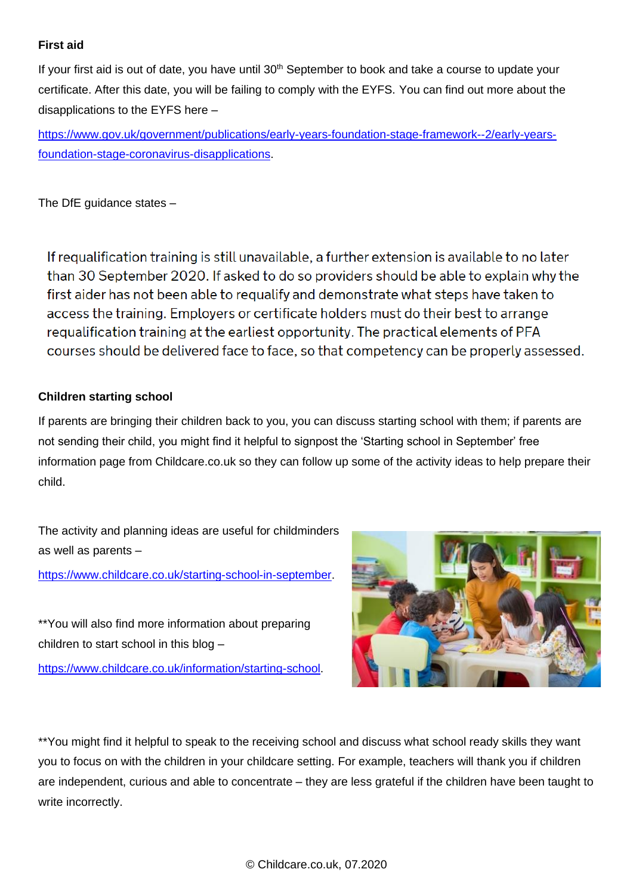#### **First aid**

If your first aid is out of date, you have until  $30<sup>th</sup>$  September to book and take a course to update your certificate. After this date, you will be failing to comply with the EYFS. You can find out more about the disapplications to the EYFS here –

[https://www.gov.uk/government/publications/early-years-foundation-stage-framework--2/early-years](https://www.gov.uk/government/publications/early-years-foundation-stage-framework--2/early-years-foundation-stage-coronavirus-disapplications)[foundation-stage-coronavirus-disapplications.](https://www.gov.uk/government/publications/early-years-foundation-stage-framework--2/early-years-foundation-stage-coronavirus-disapplications)

The DfE guidance states –

If requalification training is still unavailable, a further extension is available to no later than 30 September 2020. If asked to do so providers should be able to explain why the first aider has not been able to requalify and demonstrate what steps have taken to access the training. Employers or certificate holders must do their best to arrange requalification training at the earliest opportunity. The practical elements of PFA courses should be delivered face to face, so that competency can be properly assessed.

### **Children starting school**

If parents are bringing their children back to you, you can discuss starting school with them; if parents are not sending their child, you might find it helpful to signpost the 'Starting school in September' free information page from Childcare.co.uk so they can follow up some of the activity ideas to help prepare their child.

The activity and planning ideas are useful for childminders as well as parents –

[https://www.childcare.co.uk/starting-school-in-september.](https://www.childcare.co.uk/starting-school-in-september)

\*\*You will also find more information about preparing children to start school in this blog –

[https://www.childcare.co.uk/information/starting-school.](https://www.childcare.co.uk/information/starting-school)



\*\*You might find it helpful to speak to the receiving school and discuss what school ready skills they want you to focus on with the children in your childcare setting. For example, teachers will thank you if children are independent, curious and able to concentrate – they are less grateful if the children have been taught to write incorrectly.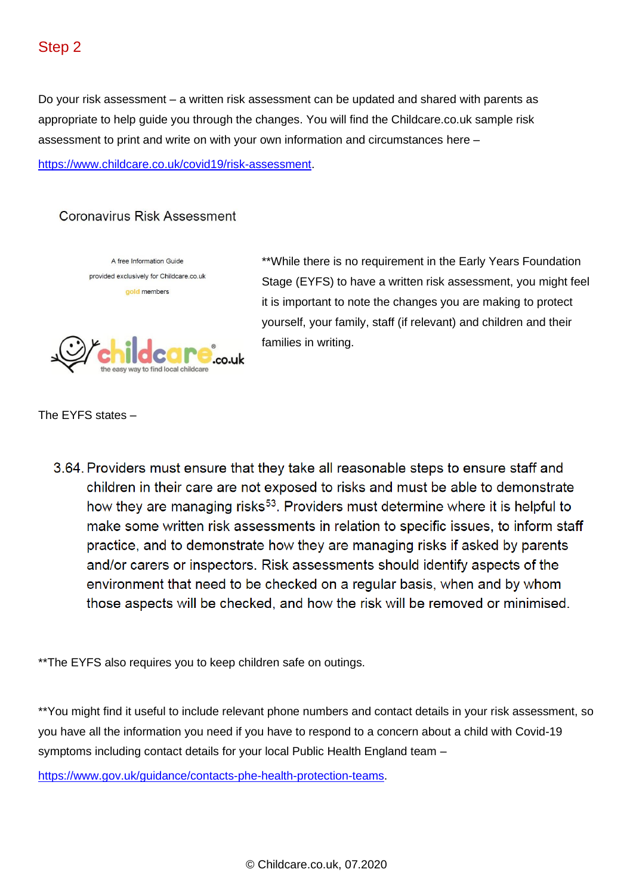Do your risk assessment – a written risk assessment can be updated and shared with parents as appropriate to help guide you through the changes. You will find the Childcare.co.uk sample risk assessment to print and write on with your own information and circumstances here –

[https://www.childcare.co.uk/covid19/risk-assessment.](https://www.childcare.co.uk/covid19/risk-assessment)

### Coronavirus Risk Assessment



\*\*While there is no requirement in the Early Years Foundation Stage (EYFS) to have a written risk assessment, you might feel it is important to note the changes you are making to protect yourself, your family, staff (if relevant) and children and their families in writing.

The EYFS states –

3.64. Providers must ensure that they take all reasonable steps to ensure staff and children in their care are not exposed to risks and must be able to demonstrate how they are managing risks<sup>53</sup>. Providers must determine where it is helpful to make some written risk assessments in relation to specific issues, to inform staff practice, and to demonstrate how they are managing risks if asked by parents and/or carers or inspectors. Risk assessments should identify aspects of the environment that need to be checked on a regular basis, when and by whom those aspects will be checked, and how the risk will be removed or minimised.

\*\*The EYFS also requires you to keep children safe on outings.

\*\*You might find it useful to include relevant phone numbers and contact details in your risk assessment, so you have all the information you need if you have to respond to a concern about a child with Covid-19 symptoms including contact details for your local Public Health England team –

[https://www.gov.uk/guidance/contacts-phe-health-protection-teams.](https://www.gov.uk/guidance/contacts-phe-health-protection-teams)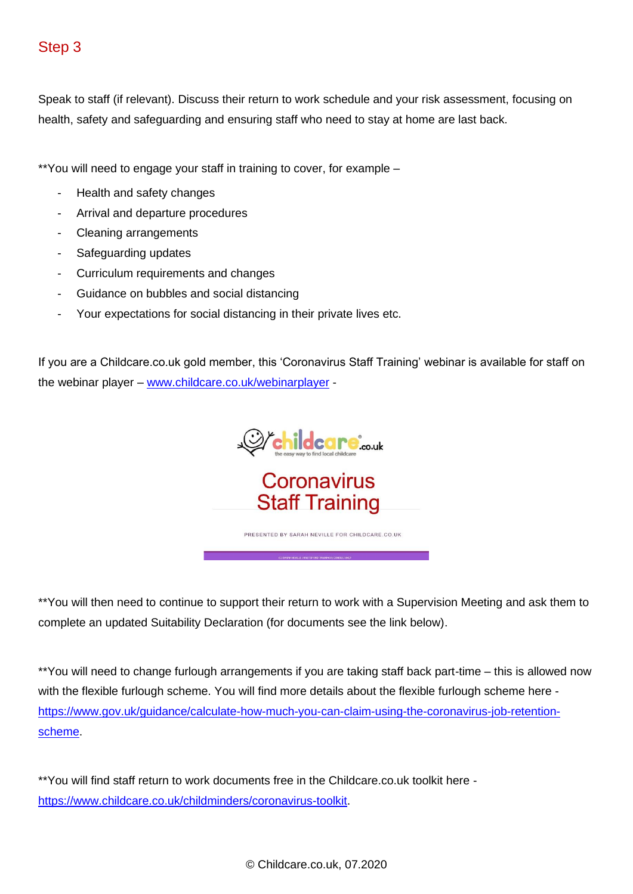Speak to staff (if relevant). Discuss their return to work schedule and your risk assessment, focusing on health, safety and safeguarding and ensuring staff who need to stay at home are last back.

\*\*You will need to engage your staff in training to cover, for example –

- Health and safety changes
- Arrival and departure procedures
- Cleaning arrangements
- Safeguarding updates
- Curriculum requirements and changes
- Guidance on bubbles and social distancing
- Your expectations for social distancing in their private lives etc.

If you are a Childcare.co.uk gold member, this 'Coronavirus Staff Training' webinar is available for staff on the webinar player – [www.childcare.co.uk/webinarplayer](http://www.childcare.co.uk/webinarplayer) -



\*\*You will then need to continue to support their return to work with a Supervision Meeting and ask them to complete an updated Suitability Declaration (for documents see the link below).

\*\*You will need to change furlough arrangements if you are taking staff back part-time – this is allowed now with the flexible furlough scheme. You will find more details about the flexible furlough scheme here [https://www.gov.uk/guidance/calculate-how-much-you-can-claim-using-the-coronavirus-job-retention](https://www.gov.uk/guidance/calculate-how-much-you-can-claim-using-the-coronavirus-job-retention-scheme)[scheme.](https://www.gov.uk/guidance/calculate-how-much-you-can-claim-using-the-coronavirus-job-retention-scheme)

\*\*You will find staff return to work documents free in the Childcare.co.uk toolkit here [https://www.childcare.co.uk/childminders/coronavirus-toolkit.](https://www.childcare.co.uk/childminders/coronavirus-toolkit)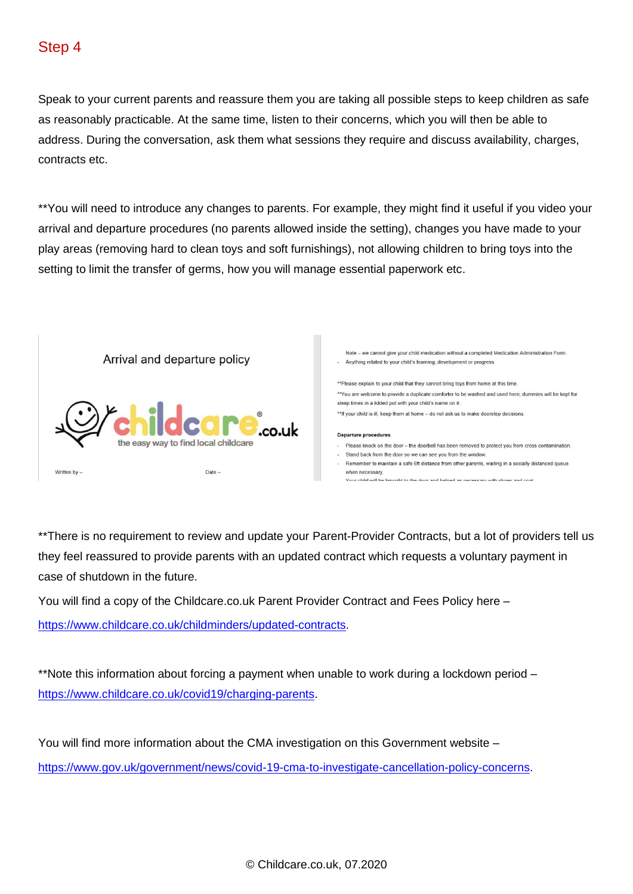Speak to your current parents and reassure them you are taking all possible steps to keep children as safe as reasonably practicable. At the same time, listen to their concerns, which you will then be able to address. During the conversation, ask them what sessions they require and discuss availability, charges, contracts etc.

\*\*You will need to introduce any changes to parents. For example, they might find it useful if you video your arrival and departure procedures (no parents allowed inside the setting), changes you have made to your play areas (removing hard to clean toys and soft furnishings), not allowing children to bring toys into the setting to limit the transfer of germs, how you will manage essential paperwork etc.



\*\*There is no requirement to review and update your Parent-Provider Contracts, but a lot of providers tell us they feel reassured to provide parents with an updated contract which requests a voluntary payment in case of shutdown in the future.

You will find a copy of the Childcare.co.uk Parent Provider Contract and Fees Policy here –

[https://www.childcare.co.uk/childminders/updated-contracts.](https://www.childcare.co.uk/childminders/updated-contracts)

\*\*Note this information about forcing a payment when unable to work during a lockdown period – [https://www.childcare.co.uk/covid19/charging-parents.](https://www.childcare.co.uk/covid19/charging-parents)

You will find more information about the CMA investigation on this Government website – [https://www.gov.uk/government/news/covid-19-cma-to-investigate-cancellation-policy-concerns.](https://www.gov.uk/government/news/covid-19-cma-to-investigate-cancellation-policy-concerns)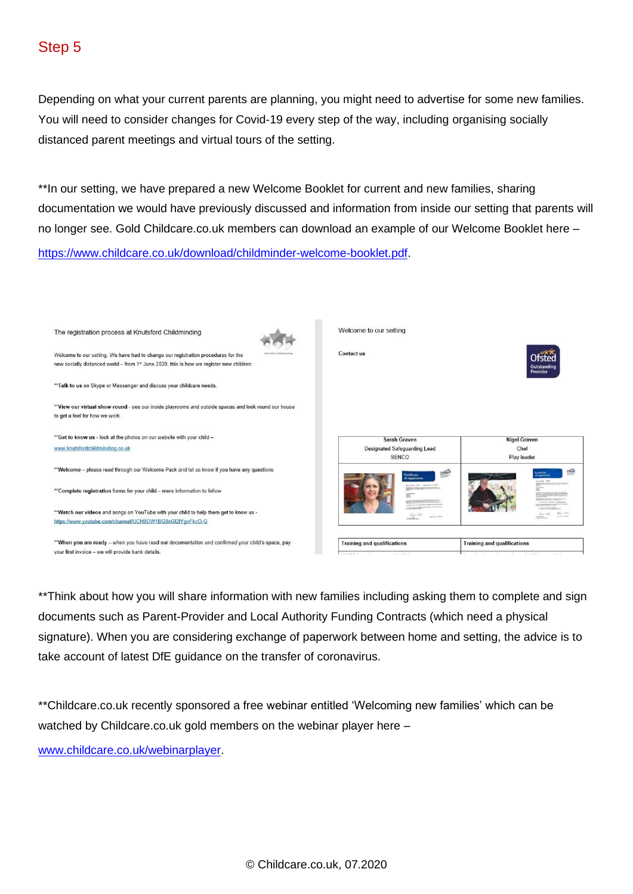Depending on what your current parents are planning, you might need to advertise for some new families. You will need to consider changes for Covid-19 every step of the way, including organising socially distanced parent meetings and virtual tours of the setting.

\*\*In our setting, we have prepared a new Welcome Booklet for current and new families, sharing documentation we would have previously discussed and information from inside our setting that parents will no longer see. Gold Childcare.co.uk members can download an example of our Welcome Booklet here –

[https://www.childcare.co.uk/download/childminder-welcome-booklet.pdf.](https://www.childcare.co.uk/download/childminder-welcome-booklet.pdf)



\*\*Think about how you will share information with new families including asking them to complete and sign documents such as Parent-Provider and Local Authority Funding Contracts (which need a physical signature). When you are considering exchange of paperwork between home and setting, the advice is to take account of latest DfE guidance on the transfer of coronavirus.

\*\*Childcare.co.uk recently sponsored a free webinar entitled 'Welcoming new families' which can be watched by Childcare.co.uk gold members on the webinar player here –

[www.childcare.co.uk/webinarplayer.](http://www.childcare.co.uk/webinarplayer)